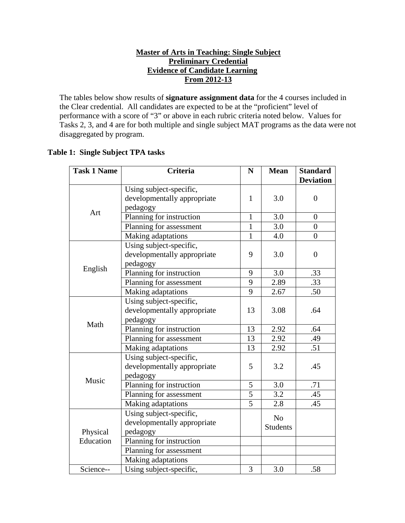## **Master of Arts in Teaching: Single Subject Preliminary Credential Evidence of Candidate Learning From 2012-13**

The tables below show results of **signature assignment data** for the 4 courses included in the Clear credential. All candidates are expected to be at the "proficient" level of performance with a score of "3" or above in each rubric criteria noted below. Values for Tasks 2, 3, and 4 are for both multiple and single subject MAT programs as the data were not disaggregated by program.

## **Table 1: Single Subject TPA tasks**

| <b>Task 1 Name</b> | <b>Criteria</b>             | N              | <b>Mean</b>     | <b>Standard</b>  |
|--------------------|-----------------------------|----------------|-----------------|------------------|
|                    |                             |                |                 | <b>Deviation</b> |
|                    | Using subject-specific,     |                |                 |                  |
|                    | developmentally appropriate | $\mathbf{1}$   | 3.0             | $\overline{0}$   |
| Art                | pedagogy                    |                |                 |                  |
|                    | Planning for instruction    | $\mathbf{1}$   | 3.0             | $\boldsymbol{0}$ |
|                    | Planning for assessment     | $\mathbf{1}$   | 3.0             | $\theta$         |
|                    | Making adaptations          | $\mathbf{1}$   | 4.0             | $\overline{0}$   |
|                    | Using subject-specific,     |                |                 |                  |
|                    | developmentally appropriate | 9              | 3.0             | $\overline{0}$   |
|                    | pedagogy                    |                |                 |                  |
| English            | Planning for instruction    | 9              | 3.0             | .33              |
|                    | Planning for assessment     | 9              | 2.89            | .33              |
|                    | Making adaptations          | 9              | 2.67            | .50              |
| Math               | Using subject-specific,     |                |                 |                  |
|                    | developmentally appropriate | 13             | 3.08            | .64              |
|                    | pedagogy                    |                |                 |                  |
|                    | Planning for instruction    | 13             | 2.92            | .64              |
|                    | Planning for assessment     | 13             | 2.92            | .49              |
|                    | Making adaptations          | 13             | 2.92            | .51              |
|                    | Using subject-specific,     |                |                 |                  |
|                    | developmentally appropriate | 5              | 3.2             | .45              |
| Music              | pedagogy                    |                |                 |                  |
|                    | Planning for instruction    | 5              | 3.0             | .71              |
|                    | Planning for assessment     | $\overline{5}$ | 3.2             | .45              |
|                    | Making adaptations          | $\overline{5}$ | 2.8             | .45              |
|                    | Using subject-specific,     |                | N <sub>o</sub>  |                  |
|                    | developmentally appropriate |                | <b>Students</b> |                  |
| Physical           | pedagogy                    |                |                 |                  |
| Education          | Planning for instruction    |                |                 |                  |
|                    | Planning for assessment     |                |                 |                  |
|                    | Making adaptations          |                |                 |                  |
| Science--          | Using subject-specific,     | 3              | 3.0             | .58              |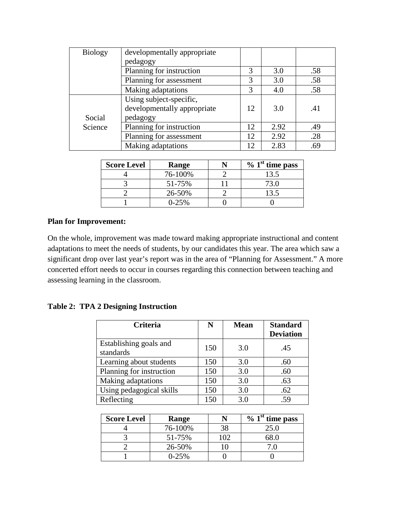| <b>Biology</b> | developmentally appropriate |    |      |     |
|----------------|-----------------------------|----|------|-----|
|                | pedagogy                    |    |      |     |
|                | Planning for instruction    | 3  | 3.0  | .58 |
|                | Planning for assessment     | 3  | 3.0  | .58 |
|                | Making adaptations          | 3  | 4.0  | .58 |
|                | Using subject-specific,     |    |      |     |
|                | developmentally appropriate | 12 | 3.0  | .41 |
| Social         | pedagogy                    |    |      |     |
| Science        | Planning for instruction    | 12 | 2.92 | .49 |
|                | Planning for assessment     | 12 | 2.92 | .28 |
|                | Making adaptations          | 12 | 2.83 | .69 |

| <b>Score Level</b> | Range   | $\%$ 1 <sup>st</sup> time pass |
|--------------------|---------|--------------------------------|
|                    | 76-100% | 13.5                           |
|                    | 51-75%  | 73.0                           |
|                    | 26-50%  | 3.5                            |
|                    | $0-25%$ |                                |

On the whole, improvement was made toward making appropriate instructional and content adaptations to meet the needs of students, by our candidates this year. The area which saw a significant drop over last year's report was in the area of "Planning for Assessment." A more concerted effort needs to occur in courses regarding this connection between teaching and assessing learning in the classroom.

# **Table 2: TPA 2 Designing Instruction**

| <b>Criteria</b>                     | N   | <b>Mean</b> | <b>Standard</b><br><b>Deviation</b> |
|-------------------------------------|-----|-------------|-------------------------------------|
| Establishing goals and<br>standards | 150 | 3.0         | .45                                 |
| Learning about students             | 150 | 3.0         | .60                                 |
| Planning for instruction            | 150 | 3.0         | .60                                 |
| Making adaptations                  | 150 | 3.0         | .63                                 |
| Using pedagogical skills            | 150 | 3.0         | .62                                 |
| Reflecting                          | 150 | 3.0         | .59                                 |

| <b>Score Level</b> | Range   |     | $\%$ 1 <sup>st</sup> time pass |
|--------------------|---------|-----|--------------------------------|
|                    | 76-100% | 38  | 25.0                           |
|                    | 51-75%  | 102 |                                |
|                    | 26-50%  |     |                                |
|                    | $0-25%$ |     |                                |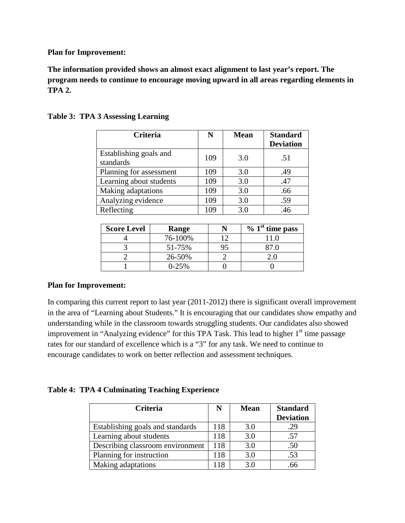**The information provided shows an almost exact alignment to last year's report. The program needs to continue to encourage moving upward in all areas regarding elements in TPA 2.** 

| <b>Criteria</b>                     | N   | <b>Mean</b> | <b>Standard</b><br><b>Deviation</b> |
|-------------------------------------|-----|-------------|-------------------------------------|
| Establishing goals and<br>standards | 109 | 3.0         | .51                                 |
| Planning for assessment             | 109 | 3.0         | .49                                 |
| Learning about students             | 109 | 3.0         | .47                                 |
| Making adaptations                  | 109 | 3.0         | .66                                 |
| Analyzing evidence                  | 109 | 3.0         | .59                                 |
| Reflecting                          | 109 | 3.0         | .46                                 |

**Table 3: TPA 3 Assessing Learning**

| <b>Score Level</b> | Range   |    | $\%$ 1 <sup>st</sup> time pass |
|--------------------|---------|----|--------------------------------|
|                    | 76-100% | ∣າ |                                |
|                    | 51-75%  |    |                                |
|                    | 26-50%  |    |                                |
|                    | $0-25%$ |    |                                |

## **Plan for Improvement:**

In comparing this current report to last year (2011-2012) there is significant overall improvement in the area of "Learning about Students." It is encouraging that our candidates show empathy and understanding while in the classroom towards struggling students. Our candidates also showed improvement in "Analyzing evidence" for this TPA Task. This lead to higher  $1<sup>st</sup>$  time passage rates for our standard of excellence which is a "3" for any task. We need to continue to encourage candidates to work on better reflection and assessment techniques.

## **Table 4: TPA 4 Culminating Teaching Experience**

| <b>Criteria</b>                  |     | <b>Mean</b> | <b>Standard</b>  |
|----------------------------------|-----|-------------|------------------|
|                                  |     |             | <b>Deviation</b> |
| Establishing goals and standards | 118 | 3.0         | .29              |
| Learning about students          | 118 | 3.0         | .57              |
| Describing classroom environment | 118 | 3.0         | .50              |
| Planning for instruction         | 118 | 3.0         | .53              |
| Making adaptations               | 118 | 3.0         |                  |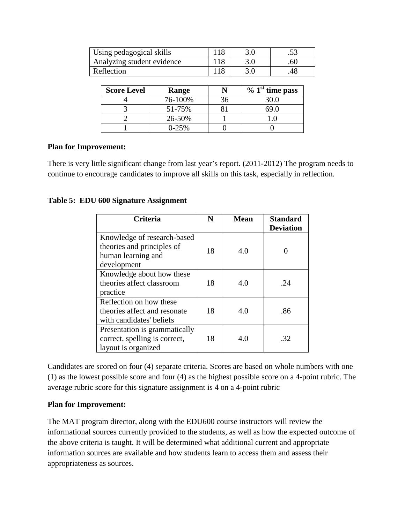| Using pedagogical skills   |  | ت ل |
|----------------------------|--|-----|
| Analyzing student evidence |  | .60 |
| Reflection                 |  | 48  |

| <b>Score Level</b> | Range   | $\%$ 1 <sup>st</sup> time pass |
|--------------------|---------|--------------------------------|
|                    | 76-100% | 30.0                           |
|                    | 51-75%  |                                |
|                    | 26-50%  |                                |
|                    | $0-25%$ |                                |

There is very little significant change from last year's report. (2011-2012) The program needs to continue to encourage candidates to improve all skills on this task, especially in reflection.

**Table 5: EDU 600 Signature Assignment**

| <b>Criteria</b>                                                                                | N  | <b>Mean</b> | <b>Standard</b><br><b>Deviation</b> |
|------------------------------------------------------------------------------------------------|----|-------------|-------------------------------------|
| Knowledge of research-based<br>theories and principles of<br>human learning and<br>development | 18 | 4.0         |                                     |
| Knowledge about how these<br>theories affect classroom<br>practice                             | 18 | 4.0         | .24                                 |
| Reflection on how these<br>theories affect and resonate<br>with candidates' beliefs            | 18 | 4.0         | .86                                 |
| Presentation is grammatically<br>correct, spelling is correct,<br>layout is organized          | 18 | 4.0         | .32                                 |

Candidates are scored on four (4) separate criteria. Scores are based on whole numbers with one (1) as the lowest possible score and four (4) as the highest possible score on a 4-point rubric. The average rubric score for this signature assignment is 4 on a 4-point rubric

## **Plan for Improvement:**

The MAT program director, along with the EDU600 course instructors will review the informational sources currently provided to the students, as well as how the expected outcome of the above criteria is taught. It will be determined what additional current and appropriate information sources are available and how students learn to access them and assess their appropriateness as sources.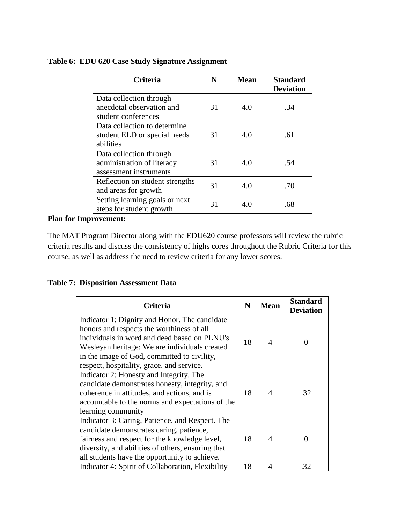# **Table 6: EDU 620 Case Study Signature Assignment**

| <b>Criteria</b>                                                                 | N  | <b>Mean</b> | <b>Standard</b><br><b>Deviation</b> |
|---------------------------------------------------------------------------------|----|-------------|-------------------------------------|
| Data collection through<br>anecdotal observation and<br>student conferences     | 31 | 4.0         | .34                                 |
| Data collection to determine<br>student ELD or special needs<br>abilities       | 31 | 4.0         | .61                                 |
| Data collection through<br>administration of literacy<br>assessment instruments | 31 | 4.0         | .54                                 |
| Reflection on student strengths<br>and areas for growth                         | 31 | 4.0         | .70                                 |
| Setting learning goals or next<br>steps for student growth                      | 31 | 4.0         | .68                                 |

## **Plan for Improvement:**

The MAT Program Director along with the EDU620 course professors will review the rubric criteria results and discuss the consistency of highs cores throughout the Rubric Criteria for this course, as well as address the need to review criteria for any lower scores.

## **Table 7: Disposition Assessment Data**

| <b>Criteria</b>                                   | N  | <b>Mean</b> | <b>Standard</b><br><b>Deviation</b> |
|---------------------------------------------------|----|-------------|-------------------------------------|
| Indicator 1: Dignity and Honor. The candidate     |    |             |                                     |
| honors and respects the worthiness of all         | 18 | 4           | 0                                   |
| individuals in word and deed based on PLNU's      |    |             |                                     |
| Wesleyan heritage: We are individuals created     |    |             |                                     |
| in the image of God, committed to civility,       |    |             |                                     |
| respect, hospitality, grace, and service.         |    |             |                                     |
| Indicator 2: Honesty and Integrity. The           |    |             |                                     |
| candidate demonstrates honesty, integrity, and    |    |             |                                     |
| coherence in attitudes, and actions, and is       | 18 | 4           | .32                                 |
| accountable to the norms and expectations of the  |    |             |                                     |
| learning community                                |    |             |                                     |
| Indicator 3: Caring, Patience, and Respect. The   |    |             |                                     |
| candidate demonstrates caring, patience,          |    |             |                                     |
| fairness and respect for the knowledge level,     | 18 | 4           | 0                                   |
| diversity, and abilities of others, ensuring that |    |             |                                     |
| all students have the opportunity to achieve.     |    |             |                                     |
| Indicator 4: Spirit of Collaboration, Flexibility | 18 | 4           | .32                                 |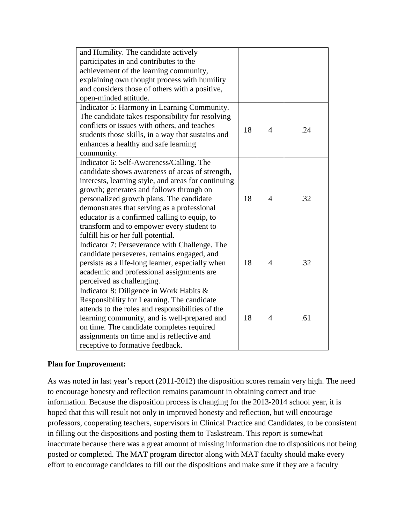| and Humility. The candidate actively                |    |                        |     |
|-----------------------------------------------------|----|------------------------|-----|
| participates in and contributes to the              |    |                        |     |
| achievement of the learning community,              |    |                        |     |
| explaining own thought process with humility        |    |                        |     |
| and considers those of others with a positive,      |    |                        |     |
| open-minded attitude.                               |    |                        |     |
| Indicator 5: Harmony in Learning Community.         |    |                        |     |
| The candidate takes responsibility for resolving    |    |                        |     |
| conflicts or issues with others, and teaches        |    | $\overline{4}$         |     |
| students those skills, in a way that sustains and   | 18 |                        | .24 |
| enhances a healthy and safe learning                |    |                        |     |
| community.                                          |    |                        |     |
| Indicator 6: Self-Awareness/Calling. The            |    |                        |     |
| candidate shows awareness of areas of strength,     |    |                        |     |
| interests, learning style, and areas for continuing |    |                        |     |
| growth; generates and follows through on            |    |                        |     |
| personalized growth plans. The candidate            | 18 | $\overline{4}$         | .32 |
| demonstrates that serving as a professional         |    |                        |     |
| educator is a confirmed calling to equip, to        |    |                        |     |
| transform and to empower every student to           |    |                        |     |
| fulfill his or her full potential.                  |    |                        |     |
| Indicator 7: Perseverance with Challenge. The       |    |                        |     |
| candidate perseveres, remains engaged, and          |    |                        |     |
| persists as a life-long learner, especially when    | 18 | $\boldsymbol{\Lambda}$ | .32 |
| academic and professional assignments are           |    |                        |     |
| perceived as challenging.                           |    |                        |     |
| Indicator 8: Diligence in Work Habits &             |    |                        |     |
| Responsibility for Learning. The candidate          |    |                        |     |
| attends to the roles and responsibilities of the    |    |                        |     |
| learning community, and is well-prepared and        | 18 | 4                      | .61 |
| on time. The candidate completes required           |    |                        |     |
| assignments on time and is reflective and           |    |                        |     |
| receptive to formative feedback.                    |    |                        |     |

As was noted in last year's report (2011-2012) the disposition scores remain very high. The need to encourage honesty and reflection remains paramount in obtaining correct and true information. Because the disposition process is changing for the 2013-2014 school year, it is hoped that this will result not only in improved honesty and reflection, but will encourage professors, cooperating teachers, supervisors in Clinical Practice and Candidates, to be consistent in filling out the dispositions and posting them to Taskstream. This report is somewhat inaccurate because there was a great amount of missing information due to dispositions not being posted or completed. The MAT program director along with MAT faculty should make every effort to encourage candidates to fill out the dispositions and make sure if they are a faculty